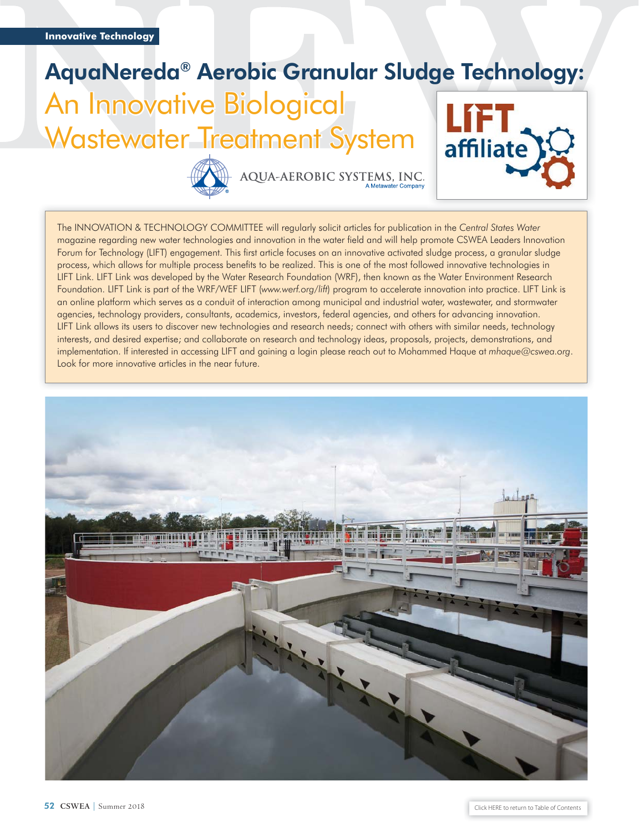## AquaNereda® Aerobic Granular Sludge Technology: An Innovative Biological Wastewater Treatment System affiliate



AQUA-AEROBIC SYSTEMS, INC.

The INNOVATION & TECHNOLOGY COMMITTEE will regularly solicit articles for publication in the *Central States Water* magazine regarding new water technologies and innovation in the water field and will help promote CSWEA Leaders Innovation Forum for Technology (LIFT) engagement. This first article focuses on an innovative activated sludge process, a granular sludge process, which allows for multiple process benefits to be realized. This is one of the most followed innovative technologies in LIFT Link. LIFT Link was developed by the Water Research Foundation (WRF), then known as the Water Environment Research Foundation. LIFT Link is part of the WRF/WEF LIFT (*[www.werf.org/lift](http://www.werf.org/lift)*) program to accelerate innovation into practice. LIFT Link is an online platform which serves as a conduit of interaction among municipal and industrial water, wastewater, and stormwater agencies, technology providers, consultants, academics, investors, federal agencies, and others for advancing innovation. LIFT Link allows its users to discover new technologies and research needs; connect with others with similar needs, technology interests, and desired expertise; and collaborate on research and technology ideas, proposals, projects, demonstrations, and implementation. If interested in accessing LIFT and gaining a login please reach out to Mohammed Haque at *[mhaque@cswea.org](mailto:mhaque@cswea.org)*. Look for more innovative articles in the near future.